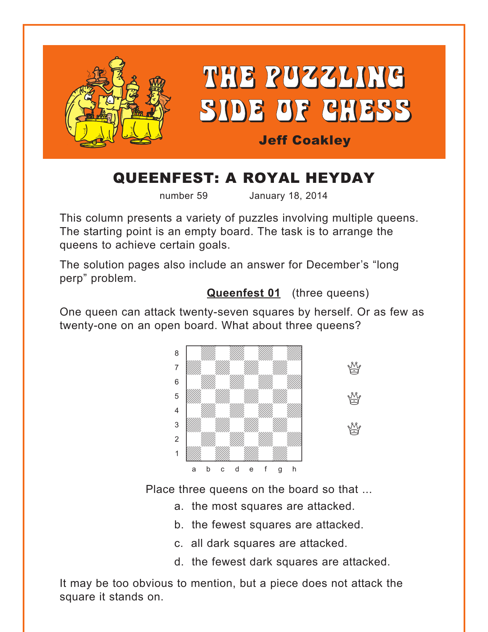<span id="page-0-0"></span>

# QUEENFEST: A ROYAL HEYDAY

number 59 January 18, 2014

This column presents a variety of puzzles involving multiple queens. The starting point is an empty board. The task is to arrange the queens to achieve certain goals.

The solution pages also include an answer for December's "long perp" problem.

**[Queenfest 01](#page-5-0)** (three queens)

One queen can attack twenty-seven squares by herself. Or as few as twenty-one on an open board. What about three queens?



Place three queens on the board so that ...

- a. the most squares are attacked.
- b. the fewest squares are attacked.
- c. all dark squares are attacked.
- d. the fewest dark squares are attacked.

It may be too obvious to mention, but a piece does not attack the square it stands on.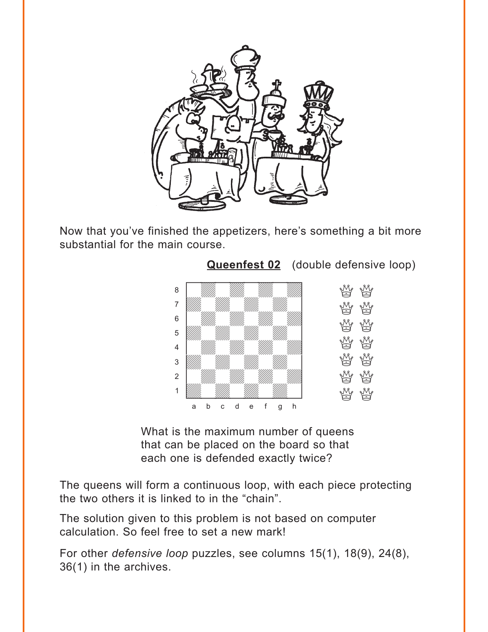<span id="page-1-0"></span>

Now that you've finished the appetizers, here's something a bit more substantial for the main course.



What is the maximum number of queens that can be placed on the board so that each one is defended exactly twice?

The queens will form a continuous loop, with each piece protecting the two others it is linked to in the "chain".

The solution given to this problem is not based on computer calculation. So feel free to set a new mark!

For other *defensive loop* puzzles, see columns 15(1), 18(9), 24(8), 36(1) in the archives.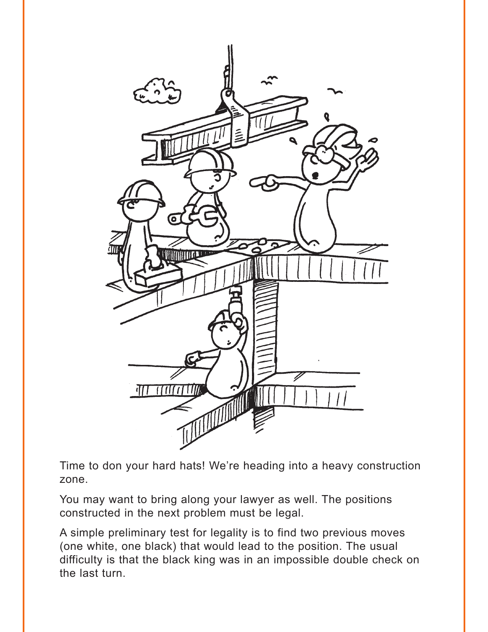

Time to don your hard hats! We're heading into a heavy construction zone.

You may want to bring along your lawyer as well. The positions constructed in the next problem must be legal.

A simple preliminary test for legality is to find two previous moves (one white, one black) that would lead to the position. The usual difficulty is that the black king was in an impossible double check on the last turn.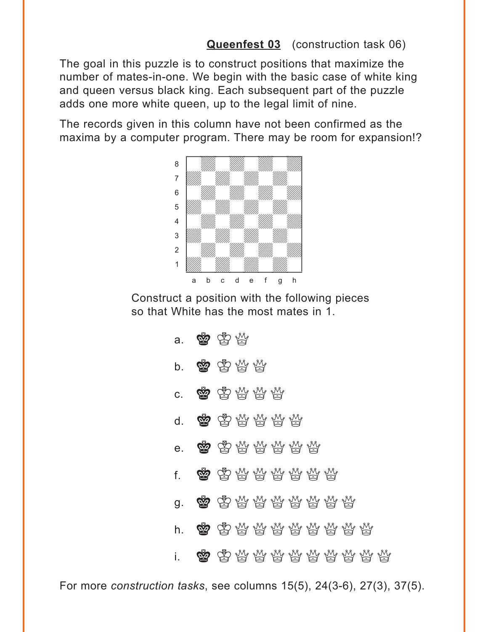**[Queenfest 03](#page-7-0)** (construction task 06)

<span id="page-3-0"></span>The goal in this puzzle is to construct positions that maximize the number of mates-in-one. We begin with the basic case of white king and queen versus black king. Each subsequent part of the puzzle adds one more white queen, up to the legal limit of nine.

The records given in this column have not been confirmed as the maxima by a computer program. There may be room for expansion!?



Construct a position with the following pieces so that White has the most mates in 1.

| a.           | 曾安兴 |                    |  |  |  |  |  |
|--------------|-----|--------------------|--|--|--|--|--|
| b.           |     | 曾胄当曾               |  |  |  |  |  |
| C.           |     | 率虽易林林              |  |  |  |  |  |
| d.           |     | 曾古竹竹片              |  |  |  |  |  |
| e.           |     | 曾由为林林林林            |  |  |  |  |  |
| $f_{\rm{r}}$ |     | <b>率</b> 串带带带带带    |  |  |  |  |  |
| g.           |     | 图 军员标标标标标件         |  |  |  |  |  |
| h.           |     | <b>索</b> 串贷贷贷贷贷贷贷贷 |  |  |  |  |  |
| i.           |     | <b>勇</b> 虽然最好好好好好好 |  |  |  |  |  |

For more *construction tasks*, see columns 15(5), 24(3-6), 27(3), 37(5).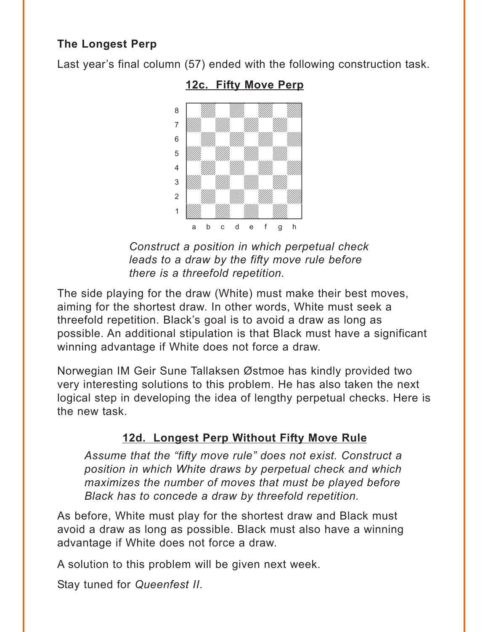## <span id="page-4-0"></span>**The Longest Perp**

Last year's final column (57) ended with the following construction task.



**12c. [Fifty Move Perp](#page-15-0)**

*Construct a position in which perpetual check leads to a draw by the fifty move rule before there is a threefold repetition.*

The side playing for the draw (White) must make their best moves, aiming for the shortest draw. In other words, White must seek a threefold repetition. Black's goal is to avoid a draw as long as possible. An additional stipulation is that Black must have a significant winning advantage if White does not force a draw.

Norwegian IM Geir Sune Tallaksen Østmoe has kindly provided two very interesting solutions to this problem. He has also taken the next logical step in developing the idea of lengthy perpetual checks. Here is the new task.

## **12d. Longest Perp Without Fifty Move Rule**

*Assume that the "fifty move rule" does not exist. Construct a position in which White draws by perpetual check and which maximizes the number of moves that must be played before Black has to concede a draw by threefold repetition.*

As before, White must play for the shortest draw and Black must avoid a draw as long as possible. Black must also have a winning advantage if White does not force a draw.

A solution to this problem will be given next week.

Stay tuned for *Queenfest II*.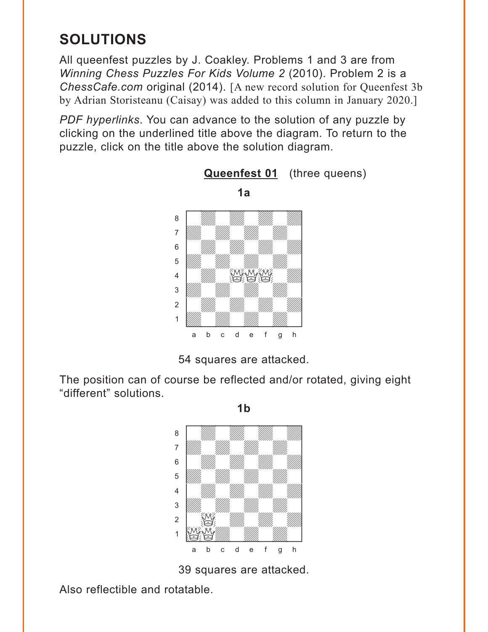## <span id="page-5-0"></span>**SOLUTIONS**

All queenfest puzzles by J. Coakley. Problems 1 and 3 are from *Winning Chess Puzzles For Kids Volume 2* (2010). Problem 2 is a *ChessCafe.com* original (2014). [A new record solution for Queenfest 3b by Adrian Storisteanu (Caisay) was added to this column in January 2020.]

*PDF hyperlinks*. You can advance to the solution of any puzzle by clicking on the underlined title above the diagram. To return to the puzzle, click on the title above the solution diagram.

**[Queenfest 01](#page-0-0)** (three queens)





The position can of course be reflected and/or rotated, giving eight "different" solutions.



39 squares are attacked.

Also reflectible and rotatable.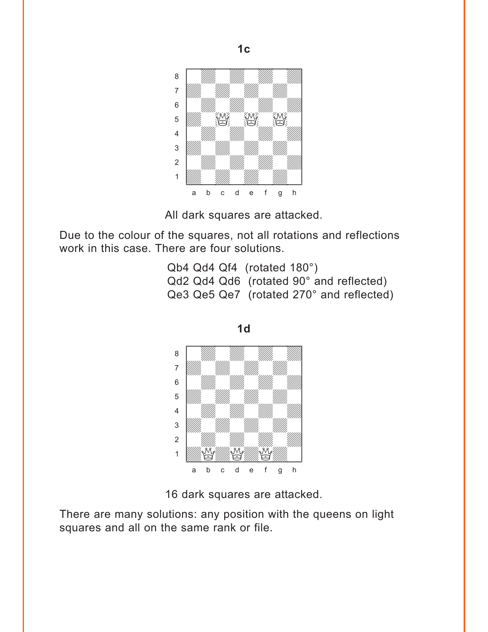

All dark squares are attacked.

Due to the colour of the squares, not all rotations and reflections work in this case. There are four solutions.

> Qb4 Qd4 Qf4 (rotated 180°) Qd2 Qd4 Qd6 (rotated 90° and reflected) Qe3 Qe5 Qe7 (rotated 270° and reflected)





There are many solutions: any position with the queens on light squares and all on the same rank or file.

**1c**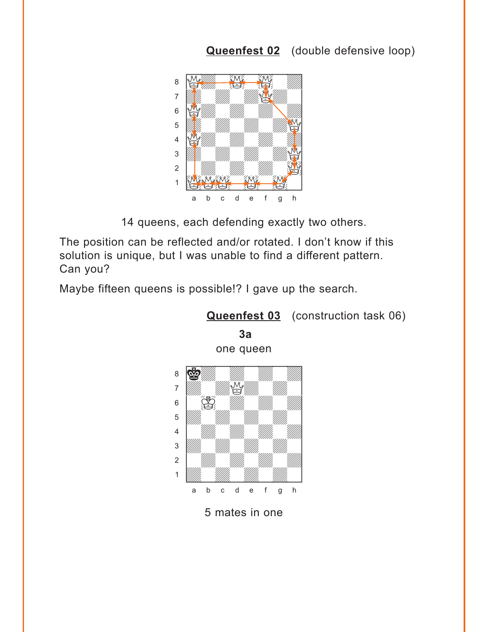## **[Queenfest 02](#page-1-0)** (double defensive loop)

<span id="page-7-0"></span>

14 queens, each defending exactly two others.

The position can be reflected and/or rotated. I don't know if this solution is unique, but I was unable to find a different pattern. Can you?

Maybe fifteen queens is possible!? I gave up the search.



**[Queenfest 03](#page-3-0)** (construction task 06)

**3a**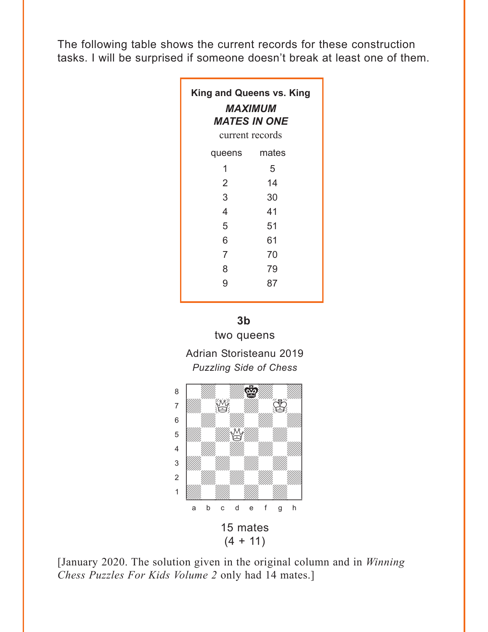The following table shows the current records for these construction tasks. I will be surprised if someone doesn't break at least one of them.

| <b>King and Queens vs. King</b><br><i><b>MAXIMUM</b></i><br><b>MATES IN ONE</b><br>current records |       |  |  |  |  |  |  |
|----------------------------------------------------------------------------------------------------|-------|--|--|--|--|--|--|
| queens                                                                                             | mates |  |  |  |  |  |  |
| 1                                                                                                  | 5     |  |  |  |  |  |  |
| 2                                                                                                  | 14    |  |  |  |  |  |  |
| 3                                                                                                  | 30    |  |  |  |  |  |  |
| 4                                                                                                  | 41    |  |  |  |  |  |  |
| 5                                                                                                  | 51    |  |  |  |  |  |  |
| 6                                                                                                  | 61    |  |  |  |  |  |  |
| 7                                                                                                  | 70    |  |  |  |  |  |  |
| 8                                                                                                  | 79    |  |  |  |  |  |  |
| 9                                                                                                  | 87    |  |  |  |  |  |  |

**3b**  two queens

Adrian Storisteanu 2019 *Puzzling Side of Chess*



[January 2020. The solution given in the original column and in *Winning Chess Puzzles For Kids Volume 2* only had 14 mates.]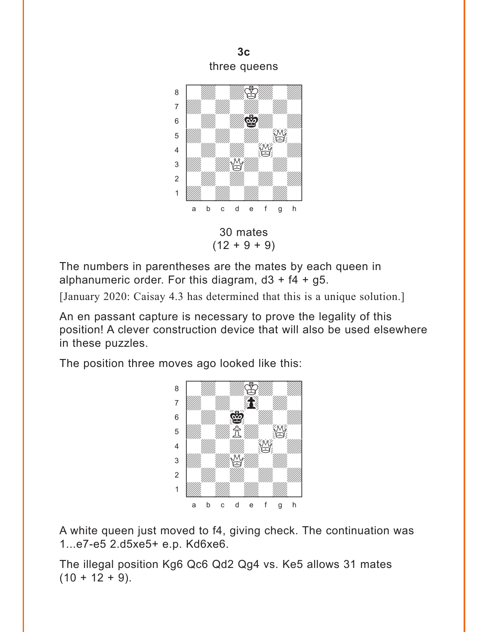**3c**  three queens



The numbers in parentheses are the mates by each queen in alphanumeric order. For this diagram,  $d3 + f4 + g5$ .

[January 2020: Caisay 4.3 has determined that this is a unique solution.]

An en passant capture is necessary to prove the legality of this position! A clever construction device that will also be used elsewhere in these puzzles.

The position three moves ago looked like this:



A white queen just moved to f4, giving check. The continuation was 1...e7-e5 2.d5xe5+ e.p. Kd6xe6.

The illegal position Kg6 Qc6 Qd2 Qg4 vs. Ke5 allows 31 mates  $(10 + 12 + 9)$ .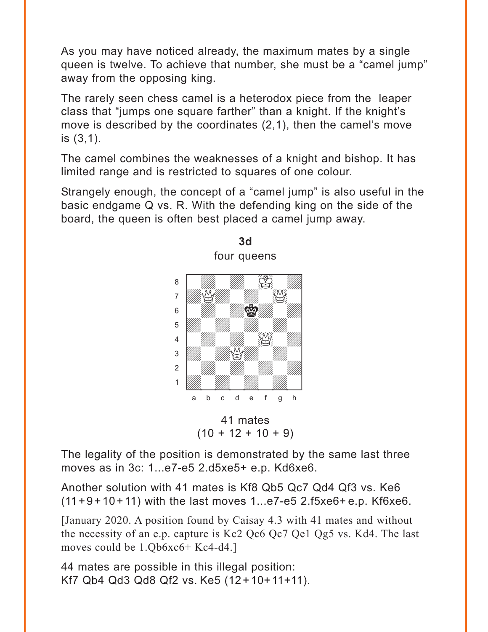As you may have noticed already, the maximum mates by a single queen is twelve. To achieve that number, she must be a "camel jump" away from the opposing king.

The rarely seen chess camel is a heterodox piece from the leaper class that "jumps one square farther" than a knight. If the knight's move is described by the coordinates (2,1), then the camel's move is (3,1).

The camel combines the weaknesses of a knight and bishop. It has limited range and is restricted to squares of one colour.

Strangely enough, the concept of a "camel jump" is also useful in the basic endgame Q vs. R. With the defending king on the side of the board, the queen is often best placed a camel jump away.

**3d** 





The legality of the position is demonstrated by the same last three moves as in 3c: 1...e7-e5 2.d5xe5+ e.p. Kd6xe6.

Another solution with 41 mates is Kf8 Qb5 Qc7 Qd4 Qf3 vs. Ke6  $(11+9+10+11)$  with the last moves 1...e7-e5 2.f5xe6+ e.p. Kf6xe6.

[January 2020. A position found by Caisay 4.3 with 41 mates and without the necessity of an e.p. capture is Kc2 Qc6 Qc7 Qe1 Qg5 vs. Kd4. The last moves could be 1.Qb6xc6+ Kc4-d4.]

44 mates are possible in this illegal position: Kf7 Qb4 Qd3 Qd8 Qf2 vs. Ke5 (12 +10+ 11+11).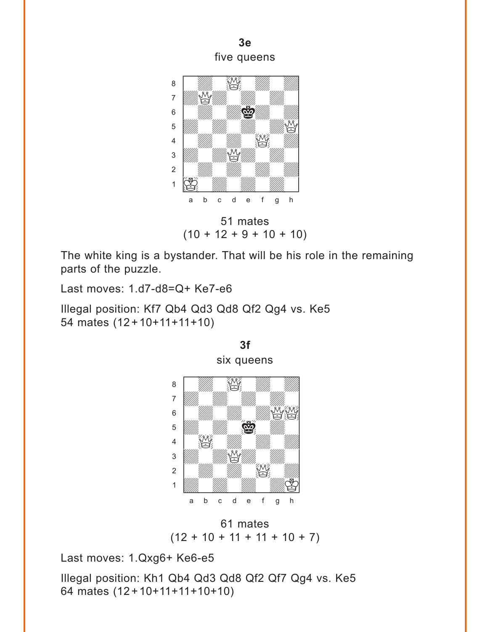



51 mates  $(10 + 12 + 9 + 10 + 10)$ 

**3f** 

The white king is a bystander. That will be his role in the remaining parts of the puzzle.

Last moves: 1.d7-d8=Q+ Ke7-e6

Illegal position: Kf7 Qb4 Qd3 Qd8 Qf2 Qg4 vs. Ke5 54 mates (12 + 10+11+11+10)



61 mates  $(12 + 10 + 11 + 11 + 10 + 7)$ 

Last moves: 1.Qxg6+ Ke6-e5

Illegal position: Kh1 Qb4 Qd3 Qd8 Qf2 Qf7 Qg4 vs. Ke5 64 mates (12 + 10+11+11+10+10)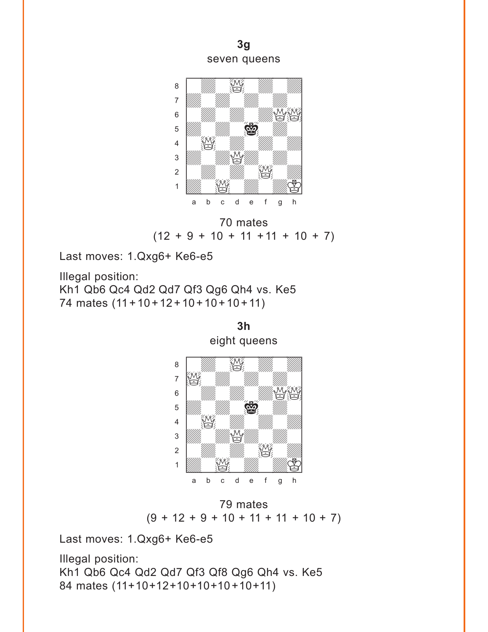**3g**  seven queens



70 mates  $(12 + 9 + 10 + 11 + 11 + 10 + 7)$ 

Last moves: 1.Qxg6+ Ke6-e5

Illegal position: Kh1 Qb6 Qc4 Qd2 Qd7 Qf3 Qg6 Qh4 vs. Ke5 74 mates (11 + 10 + 12 + 10 + 10 + 10 + 11)



79 mates  $(9 + 12 + 9 + 10 + 11 + 11 + 10 + 7)$ 

 $\frac{1}{\sqrt{2}}$  $\frac{1}{2}$  $\frac{1}{\sqrt{2}}$ a b c d e f g h

Last moves: 1.Qxg6+ Ke6-e5

Illegal position: Kh1 Qb6 Qc4 Qd2 Qd7 Qf3 Qf8 Qg6 Qh4 vs. Ke5 84 mates (11+10+12+10+10+10+10+11)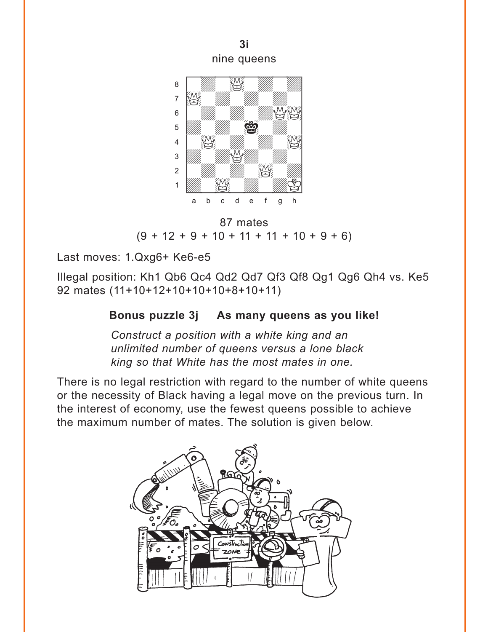**3i**  nine queens



87 mates  $(9 + 12 + 9 + 10 + 11 + 11 + 10 + 9 + 6)$ 

Last moves: 1.Qxg6+ Ke6-e5

Illegal position: Kh1 Qb6 Qc4 Qd2 Qd7 Qf3 Qf8 Qg1 Qg6 Qh4 vs. Ke5 92 mates (11+10+12+10+10+10+8+10+11)

#### **Bonus puzzle 3j As many queens as you like!**

*Construct a position with a white king and an unlimited number of queens versus a lone black king so that White has the most mates in one.*

There is no legal restriction with regard to the number of white queens or the necessity of Black having a legal move on the previous turn. In the interest of economy, use the fewest queens possible to achieve the maximum number of mates. The solution is given below.

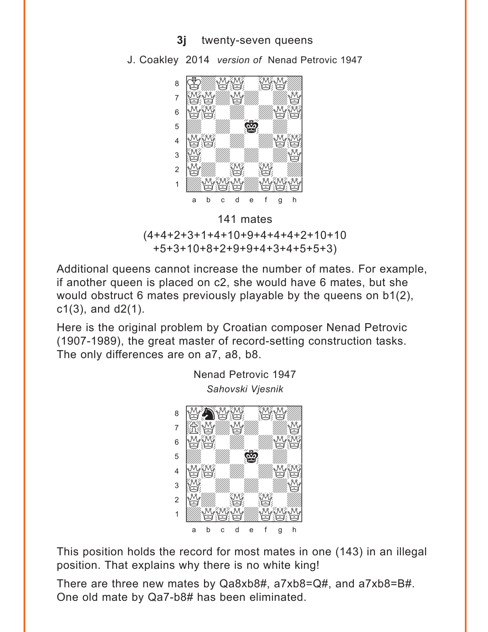**3j** twenty-seven queens



J. Coakley 2014 *version of* Nenad Petrovic 1947



Additional queens cannot increase the number of mates. For example, if another queen is placed on c2, she would have 6 mates, but she would obstruct 6 mates previously playable by the queens on b1(2),  $c1(3)$ , and  $d2(1)$ .

Here is the original problem by Croatian composer Nenad Petrovic (1907-1989), the great master of record-setting construction tasks. The only differences are on a7, a8, b8.



This position holds the record for most mates in one (143) in an illegal position. That explains why there is no white king!

There are three new mates by Qa8xb8#, a7xb8=Q#, and a7xb8=B#. One old mate by Qa7-b8# has been eliminated.

Nenad Petrovic 1947 *Sahovski Vjesnik*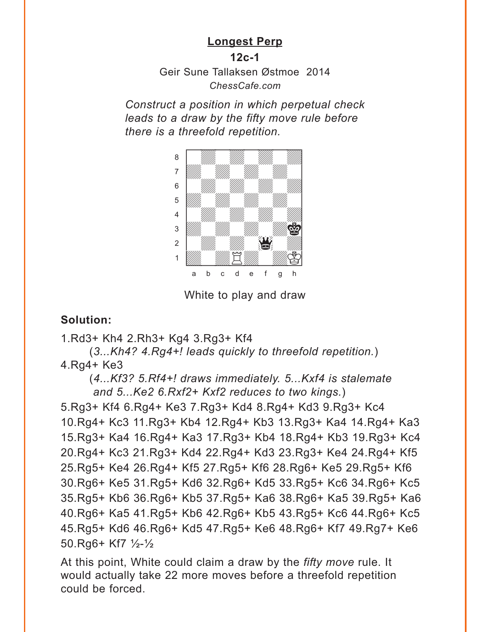#### **[Longest Perp](#page-4-0)**

**12c-1**

Geir Sune Tallaksen Østmoe 2014 *ChessCafe.com*

<span id="page-15-0"></span>*Construct a position in which perpetual check leads to a draw by the fifty move rule before there is a threefold repetition.* 



White to play and draw

#### **Solution:**

1.Rd3+ Kh4 2.Rh3+ Kg4 3.Rg3+ Kf4

(*3...Kh4? 4.Rg4+! leads quickly to threefold repetition.*) 4.Rg4+ Ke3

(*4...Kf3? 5.Rf4+! draws immediately. 5...Kxf4 is stalemate and 5...Ke2 6.Rxf2+ Kxf2 reduces to two kings.*)

5.Rg3+ Kf4 6.Rg4+ Ke3 7.Rg3+ Kd4 8.Rg4+ Kd3 9.Rg3+ Kc4 10.Rg4+ Kc3 11.Rg3+ Kb4 12.Rg4+ Kb3 13.Rg3+ Ka4 14.Rg4+ Ka3 15.Rg3+ Ka4 16.Rg4+ Ka3 17.Rg3+ Kb4 18.Rg4+ Kb3 19.Rg3+ Kc4 20.Rg4+ Kc3 21.Rg3+ Kd4 22.Rg4+ Kd3 23.Rg3+ Ke4 24.Rg4+ Kf5 25.Rg5+ Ke4 26.Rg4+ Kf5 27.Rg5+ Kf6 28.Rg6+ Ke5 29.Rg5+ Kf6 30.Rg6+ Ke5 31.Rg5+ Kd6 32.Rg6+ Kd5 33.Rg5+ Kc6 34.Rg6+ Kc5 35.Rg5+ Kb6 36.Rg6+ Kb5 37.Rg5+ Ka6 38.Rg6+ Ka5 39.Rg5+ Ka6 40.Rg6+ Ka5 41.Rg5+ Kb6 42.Rg6+ Kb5 43.Rg5+ Kc6 44.Rg6+ Kc5 45.Rg5+ Kd6 46.Rg6+ Kd5 47.Rg5+ Ke6 48.Rg6+ Kf7 49.Rg7+ Ke6 50.Rg6+ Kf7 ½-½

At this point, White could claim a draw by the *fifty move* rule. It would actually take 22 more moves before a threefold repetition could be forced.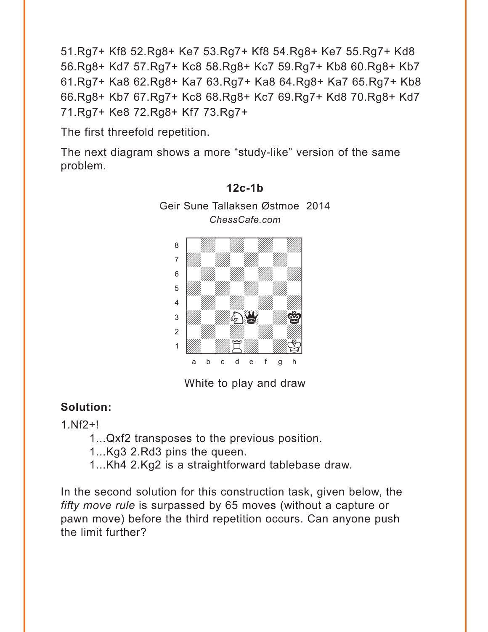51.Rg7+ Kf8 52.Rg8+ Ke7 53.Rg7+ Kf8 54.Rg8+ Ke7 55.Rg7+ Kd8 56.Rg8+ Kd7 57.Rg7+ Kc8 58.Rg8+ Kc7 59.Rg7+ Kb8 60.Rg8+ Kb7 61.Rg7+ Ka8 62.Rg8+ Ka7 63.Rg7+ Ka8 64.Rg8+ Ka7 65.Rg7+ Kb8 66.Rg8+ Kb7 67.Rg7+ Kc8 68.Rg8+ Kc7 69.Rg7+ Kd8 70.Rg8+ Kd7 71.Rg7+ Ke8 72.Rg8+ Kf7 73.Rg7+

The first threefold repetition.

The next diagram shows a more "study-like" version of the same problem.



**[12c-1b](#page-4-0)** Geir Sune Tallaksen Østmoe 2014

White to play and draw

## **Solution:**

1.Nf2+!

- 1...Qxf2 transposes to the previous position.
- 1...Kg3 2.Rd3 pins the queen.
- 1...Kh4 2.Kg2 is a straightforward tablebase draw.

In the second solution for this construction task, given below, the *fifty move rule* is surpassed by 65 moves (without a capture or pawn move) before the third repetition occurs. Can anyone push the limit further?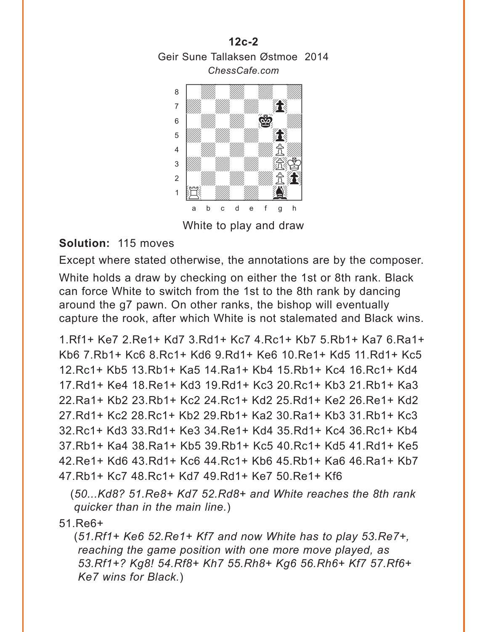**[12c-2](#page-4-0)** Geir Sune Tallaksen Østmoe 2014 *ChessCafe.com*  $C$   $R$   $\sim$   $C$   $\sim$   $C$   $\sim$   $C$   $\sim$   $C$   $\sim$   $C$   $\sim$   $C$   $\sim$   $C$   $\sim$   $C$   $\sim$   $C$   $\sim$   $C$   $\sim$   $C$   $\sim$   $C$   $\sim$   $C$   $\sim$   $C$   $\sim$   $C$   $\sim$   $C$   $\sim$   $C$   $\sim$   $C$   $\sim$   $C$   $\sim$   $C$   $\sim$   $C$   $\sim$   $C$   $\sim$   $C$   $\sim$ 



White to play and draw

## **Solution:** 115 moves

Except where stated otherwise, the annotations are by the composer.

White holds a draw by checking on either the 1st or 8th rank. Black can force White to switch from the 1st to the 8th rank by dancing around the g7 pawn. On other ranks, the bishop will eventually capture the rook, after which White is not stalemated and Black wins.

1.Rf1+ Ke7 2.Re1+ Kd7 3.Rd1+ Kc7 4.Rc1+ Kb7 5.Rb1+ Ka7 6.Ra1+ Kb6 7.Rb1+ Kc6 8.Rc1+ Kd6 9.Rd1+ Ke6 10.Re1+ Kd5 11.Rd1+ Kc5 12.Rc1+ Kb5 13.Rb1+ Ka5 14.Ra1+ Kb4 15.Rb1+ Kc4 16.Rc1+ Kd4 17.Rd1+ Ke4 18.Re1+ Kd3 19.Rd1+ Kc3 20.Rc1+ Kb3 21.Rb1+ Ka3 22.Ra1+ Kb2 23.Rb1+ Kc2 24.Rc1+ Kd2 25.Rd1+ Ke2 26.Re1+ Kd2 27.Rd1+ Kc2 28.Rc1+ Kb2 29.Rb1+ Ka2 30.Ra1+ Kb3 31.Rb1+ Kc3 32.Rc1+ Kd3 33.Rd1+ Ke3 34.Re1+ Kd4 35.Rd1+ Kc4 36.Rc1+ Kb4 37.Rb1+ Ka4 38.Ra1+ Kb5 39.Rb1+ Kc5 40.Rc1+ Kd5 41.Rd1+ Ke5 42.Re1+ Kd6 43.Rd1+ Kc6 44.Rc1+ Kb6 45.Rb1+ Ka6 46.Ra1+ Kb7 47.Rb1+ Kc7 48.Rc1+ Kd7 49.Rd1+ Ke7 50.Re1+ Kf6

(*50...Kd8? 51.Re8+ Kd7 52.Rd8+ and White reaches the 8th rank quicker than in the main line.*)

51.Re6+

(*51.Rf1+ Ke6 52.Re1+ Kf7 and now White has to play 53.Re7+, reaching the game position with one more move played, as 53.Rf1+? Kg8! 54.Rf8+ Kh7 55.Rh8+ Kg6 56.Rh6+ Kf7 57.Rf6+ Ke7 wins for Black.*)